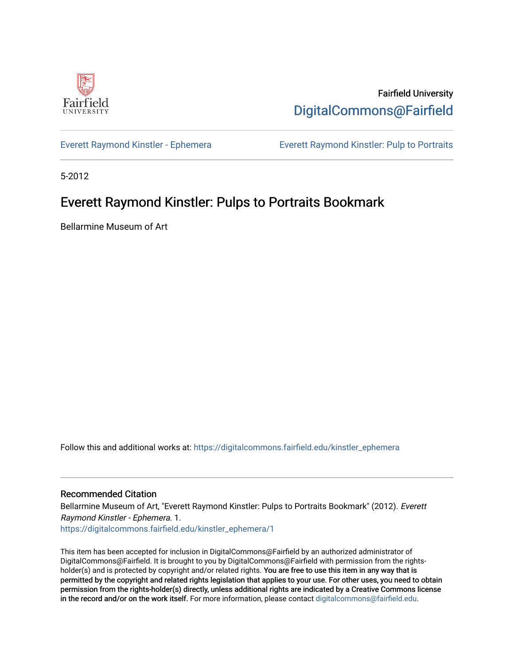

Fairfield University [DigitalCommons@Fairfield](https://digitalcommons.fairfield.edu/) 

[Everett Raymond Kinstler - Ephemera](https://digitalcommons.fairfield.edu/kinstler_ephemera) [Everett Raymond Kinstler: Pulp to Portraits](https://digitalcommons.fairfield.edu/kinstler) 

5-2012

## Everett Raymond Kinstler: Pulps to Portraits Bookmark

Bellarmine Museum of Art

Follow this and additional works at: [https://digitalcommons.fairfield.edu/kinstler\\_ephemera](https://digitalcommons.fairfield.edu/kinstler_ephemera?utm_source=digitalcommons.fairfield.edu%2Fkinstler_ephemera%2F1&utm_medium=PDF&utm_campaign=PDFCoverPages)

## Recommended Citation

Bellarmine Museum of Art, "Everett Raymond Kinstler: Pulps to Portraits Bookmark" (2012). Everett Raymond Kinstler - Ephemera. 1.

[https://digitalcommons.fairfield.edu/kinstler\\_ephemera/1](https://digitalcommons.fairfield.edu/kinstler_ephemera/1?utm_source=digitalcommons.fairfield.edu%2Fkinstler_ephemera%2F1&utm_medium=PDF&utm_campaign=PDFCoverPages)

This item has been accepted for inclusion in DigitalCommons@Fairfield by an authorized administrator of DigitalCommons@Fairfield. It is brought to you by DigitalCommons@Fairfield with permission from the rightsholder(s) and is protected by copyright and/or related rights. You are free to use this item in any way that is permitted by the copyright and related rights legislation that applies to your use. For other uses, you need to obtain permission from the rights-holder(s) directly, unless additional rights are indicated by a Creative Commons license in the record and/or on the work itself. For more information, please contact [digitalcommons@fairfield.edu.](mailto:digitalcommons@fairfield.edu)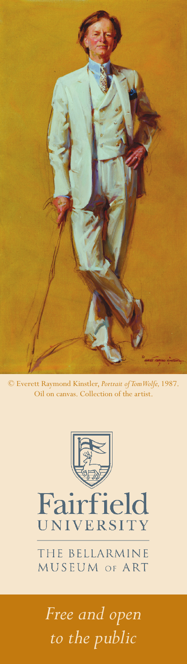

© Everett Raymond Kinstler, *Portrait of Tom Wolfe,* 1987. Oil on canvas. Collection of the artist.



Fairfield UNIVERSITY

THE BELLARMINE MUSEUM OF ART

*Free and open to the public*